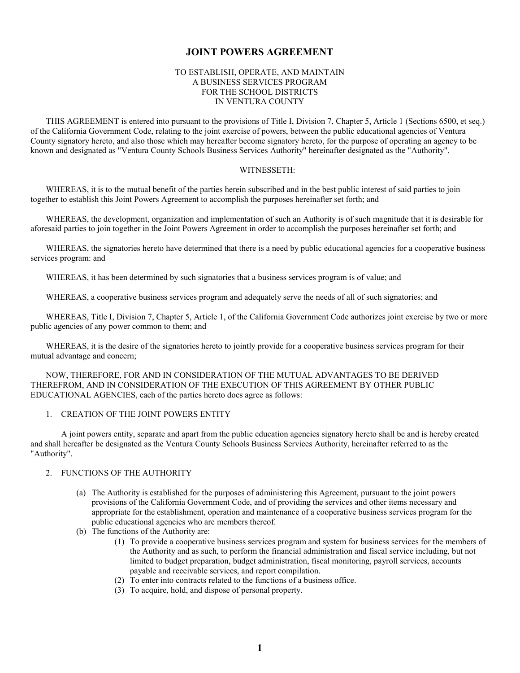# **JOINT POWERS AGREEMENT**

# TO ESTABLISH, OPERATE, AND MAINTAIN A BUSINESS SERVICES PROGRAM FOR THE SCHOOL DISTRICTS IN VENTURA COUNTY

THIS AGREEMENT is entered into pursuant to the provisions of Title I, Division 7, Chapter 5, Article 1 (Sections 6500, et seq.) of the California Government Code, relating to the joint exercise of powers, between the public educational agencies of Ventura County signatory hereto, and also those which may hereafter become signatory hereto, for the purpose of operating an agency to be known and designated as "Ventura County Schools Business Services Authority" hereinafter designated as the "Authority".

#### WITNESSETH:

WHEREAS, it is to the mutual benefit of the parties herein subscribed and in the best public interest of said parties to join together to establish this Joint Powers Agreement to accomplish the purposes hereinafter set forth; and

WHEREAS, the development, organization and implementation of such an Authority is of such magnitude that it is desirable for aforesaid parties to join together in the Joint Powers Agreement in order to accomplish the purposes hereinafter set forth; and

WHEREAS, the signatories hereto have determined that there is a need by public educational agencies for a cooperative business services program: and

WHEREAS, it has been determined by such signatories that a business services program is of value; and

WHEREAS, a cooperative business services program and adequately serve the needs of all of such signatories; and

WHEREAS, Title I, Division 7, Chapter 5, Article 1, of the California Government Code authorizes joint exercise by two or more public agencies of any power common to them; and

WHEREAS, it is the desire of the signatories hereto to jointly provide for a cooperative business services program for their mutual advantage and concern;

NOW, THEREFORE, FOR AND IN CONSIDERATION OF THE MUTUAL ADVANTAGES TO BE DERIVED THEREFROM, AND IN CONSIDERATION OF THE EXECUTION OF THIS AGREEMENT BY OTHER PUBLIC EDUCATIONAL AGENCIES, each of the parties hereto does agree as follows:

#### 1. CREATION OF THE JOINT POWERS ENTITY

A joint powers entity, separate and apart from the public education agencies signatory hereto shall be and is hereby created and shall hereafter be designated as the Ventura County Schools Business Services Authority, hereinafter referred to as the "Authority".

## 2. FUNCTIONS OF THE AUTHORITY

- (a) The Authority is established for the purposes of administering this Agreement, pursuant to the joint powers provisions of the California Government Code, and of providing the services and other items necessary and appropriate for the establishment, operation and maintenance of a cooperative business services program for the public educational agencies who are members thereof.
- (b) The functions of the Authority are:
	- (1) To provide a cooperative business services program and system for business services for the members of the Authority and as such, to perform the financial administration and fiscal service including, but not limited to budget preparation, budget administration, fiscal monitoring, payroll services, accounts payable and receivable services, and report compilation.
	- (2) To enter into contracts related to the functions of a business office.
	- (3) To acquire, hold, and dispose of personal property.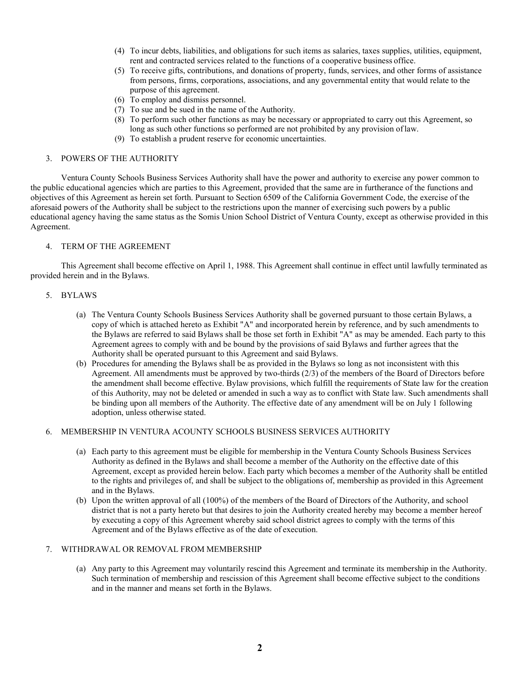- (4) To incur debts, liabilities, and obligations for such items as salaries, taxes supplies, utilities, equipment, rent and contracted services related to the functions of a cooperative business office.
- (5) To receive gifts, contributions, and donations of property, funds, services, and other forms of assistance from persons, firms, corporations, associations, and any governmental entity that would relate to the purpose of this agreement.
- (6) To employ and dismiss personnel.
- (7) To sue and be sued in the name of the Authority.
- (8) To perform such other functions as may be necessary or appropriated to carry out this Agreement, so long as such other functions so performed are not prohibited by any provision oflaw.
- (9) To establish a prudent reserve for economic uncertainties.

#### 3. POWERS OF THE AUTHORITY

Ventura County Schools Business Services Authority shall have the power and authority to exercise any power common to the public educational agencies which are parties to this Agreement, provided that the same are in furtherance of the functions and objectives of this Agreement as herein set forth. Pursuant to Section 6509 of the California Government Code, the exercise of the aforesaid powers of the Authority shall be subject to the restrictions upon the manner of exercising such powers by a public educational agency having the same status as the Somis Union School District of Ventura County, except as otherwise provided in this Agreement.

#### 4. TERM OF THE AGREEMENT

This Agreement shall become effective on April 1, 1988. This Agreement shall continue in effect until lawfully terminated as provided herein and in the Bylaws.

# 5. BYLAWS

- (a) The Ventura County Schools Business Services Authority shall be governed pursuant to those certain Bylaws, a copy of which is attached hereto as Exhibit "A" and incorporated herein by reference, and by such amendments to the Bylaws are referred to said Bylaws shall be those set forth in Exhibit "A" as may be amended. Each party to this Agreement agrees to comply with and be bound by the provisions of said Bylaws and further agrees that the Authority shall be operated pursuant to this Agreement and said Bylaws.
- (b) Procedures for amending the Bylaws shall be as provided in the Bylaws so long as not inconsistent with this Agreement. All amendments must be approved by two-thirds (2/3) of the members of the Board of Directors before the amendment shall become effective. Bylaw provisions, which fulfill the requirements of State law for the creation of this Authority, may not be deleted or amended in such a way as to conflict with State law. Such amendments shall be binding upon all members of the Authority. The effective date of any amendment will be on July 1 following adoption, unless otherwise stated.

# 6. MEMBERSHIP IN VENTURA ACOUNTY SCHOOLS BUSINESS SERVICES AUTHORITY

- (a) Each party to this agreement must be eligible for membership in the Ventura County Schools Business Services Authority as defined in the Bylaws and shall become a member of the Authority on the effective date of this Agreement, except as provided herein below. Each party which becomes a member of the Authority shall be entitled to the rights and privileges of, and shall be subject to the obligations of, membership as provided in this Agreement and in the Bylaws.
- (b) Upon the written approval of all (100%) of the members of the Board of Directors of the Authority, and school district that is not a party hereto but that desires to join the Authority created hereby may become a member hereof by executing a copy of this Agreement whereby said school district agrees to comply with the terms of this Agreement and of the Bylaws effective as of the date of execution.

#### 7. WITHDRAWAL OR REMOVAL FROM MEMBERSHIP

(a) Any party to this Agreement may voluntarily rescind this Agreement and terminate its membership in the Authority. Such termination of membership and rescission of this Agreement shall become effective subject to the conditions and in the manner and means set forth in the Bylaws.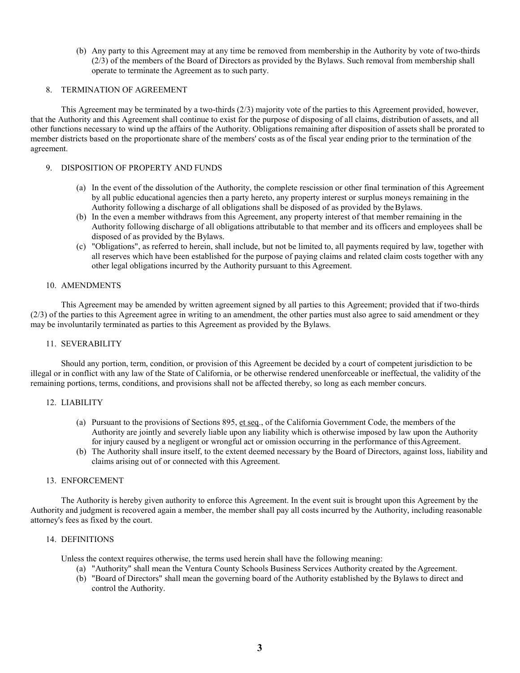(b) Any party to this Agreement may at any time be removed from membership in the Authority by vote of two-thirds (2/3) of the members of the Board of Directors as provided by the Bylaws. Such removal from membership shall operate to terminate the Agreement as to such party.

# 8. TERMINATION OF AGREEMENT

This Agreement may be terminated by a two-thirds (2/3) majority vote of the parties to this Agreement provided, however, that the Authority and this Agreement shall continue to exist for the purpose of disposing of all claims, distribution of assets, and all other functions necessary to wind up the affairs of the Authority. Obligations remaining after disposition of assets shall be prorated to member districts based on the proportionate share of the members' costs as of the fiscal year ending prior to the termination of the agreement.

# 9. DISPOSITION OF PROPERTY AND FUNDS

- (a) In the event of the dissolution of the Authority, the complete rescission or other final termination of this Agreement by all public educational agencies then a party hereto, any property interest or surplus moneys remaining in the Authority following a discharge of all obligations shall be disposed of as provided by theBylaws.
- (b) In the even a member withdraws from this Agreement, any property interest of that member remaining in the Authority following discharge of all obligations attributable to that member and its officers and employees shall be disposed of as provided by the Bylaws.
- (c) "Obligations", as referred to herein, shall include, but not be limited to, all payments required by law, together with all reserves which have been established for the purpose of paying claims and related claim costs together with any other legal obligations incurred by the Authority pursuant to this Agreement.

#### 10. AMENDMENTS

This Agreement may be amended by written agreement signed by all parties to this Agreement; provided that if two-thirds (2/3) of the parties to this Agreement agree in writing to an amendment, the other parties must also agree to said amendment or they may be involuntarily terminated as parties to this Agreement as provided by the Bylaws.

#### 11. SEVERABILITY

Should any portion, term, condition, or provision of this Agreement be decided by a court of competent jurisdiction to be illegal or in conflict with any law of the State of California, or be otherwise rendered unenforceable or ineffectual, the validity of the remaining portions, terms, conditions, and provisions shall not be affected thereby, so long as each member concurs.

# 12. LIABILITY

- (a) Pursuant to the provisions of Sections 895, et seq., of the California Government Code, the members of the Authority are jointly and severely liable upon any liability which is otherwise imposed by law upon the Authority for injury caused by a negligent or wrongful act or omission occurring in the performance of thisAgreement.
- (b) The Authority shall insure itself, to the extent deemed necessary by the Board of Directors, against loss, liability and claims arising out of or connected with this Agreement.

### 13. ENFORCEMENT

The Authority is hereby given authority to enforce this Agreement. In the event suit is brought upon this Agreement by the Authority and judgment is recovered again a member, the member shall pay all costs incurred by the Authority, including reasonable attorney's fees as fixed by the court.

# 14. DEFINITIONS

Unless the context requires otherwise, the terms used herein shall have the following meaning:

- (a) "Authority" shall mean the Ventura County Schools Business Services Authority created by the Agreement.
- (b) "Board of Directors" shall mean the governing board of the Authority established by the Bylaws to direct and control the Authority.